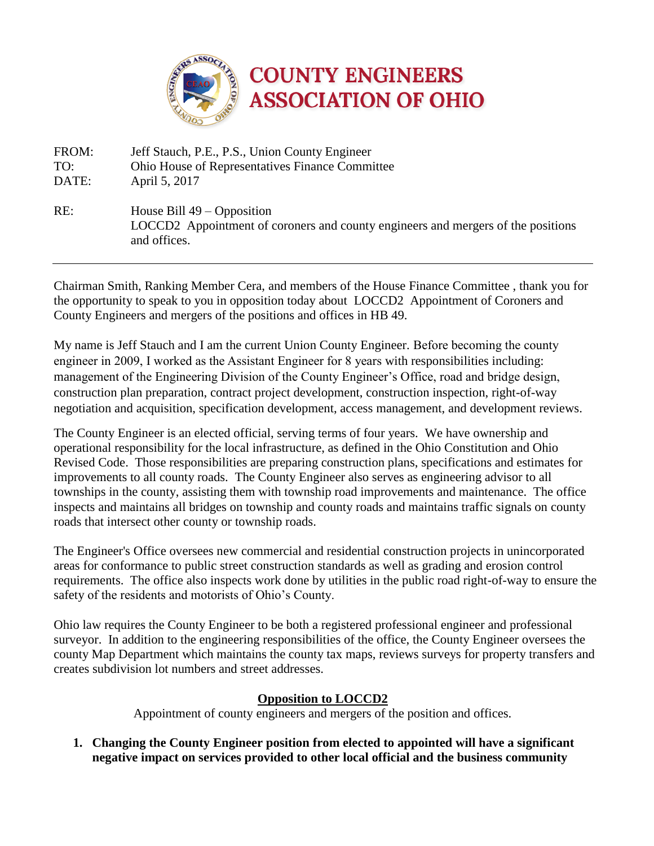

FROM: Jeff Stauch, P.E., P.S., Union County Engineer TO: Ohio House of Representatives Finance Committee DATE: April 5, 2017 RE: House Bill 49 – Opposition LOCCD2 Appointment of coroners and county engineers and mergers of the positions and offices.

Chairman Smith, Ranking Member Cera, and members of the House Finance Committee , thank you for the opportunity to speak to you in opposition today about LOCCD2 Appointment of Coroners and County Engineers and mergers of the positions and offices in HB 49.

My name is Jeff Stauch and I am the current Union County Engineer. Before becoming the county engineer in 2009, I worked as the Assistant Engineer for 8 years with responsibilities including: management of the Engineering Division of the County Engineer's Office, road and bridge design, construction plan preparation, contract project development, construction inspection, right-of-way negotiation and acquisition, specification development, access management, and development reviews.

The County Engineer is an elected official, serving terms of four years. We have ownership and operational responsibility for the local infrastructure, as defined in the Ohio Constitution and Ohio Revised Code. Those responsibilities are preparing construction plans, specifications and estimates for improvements to all county roads. The County Engineer also serves as engineering advisor to all townships in the county, assisting them with township road improvements and maintenance. The office inspects and maintains all bridges on township and county roads and maintains traffic signals on county roads that intersect other county or township roads.

The Engineer's Office oversees new commercial and residential construction projects in unincorporated areas for conformance to public street construction standards as well as grading and erosion control requirements. The office also inspects work done by utilities in the public road right-of-way to ensure the safety of the residents and motorists of Ohio's County.

Ohio law requires the County Engineer to be both a registered professional engineer and professional surveyor. In addition to the engineering responsibilities of the office, the County Engineer oversees the county Map Department which maintains the county tax maps, reviews surveys for property transfers and creates subdivision lot numbers and street addresses.

# **Opposition to LOCCD2**

Appointment of county engineers and mergers of the position and offices.

**1. Changing the County Engineer position from elected to appointed will have a significant negative impact on services provided to other local official and the business community**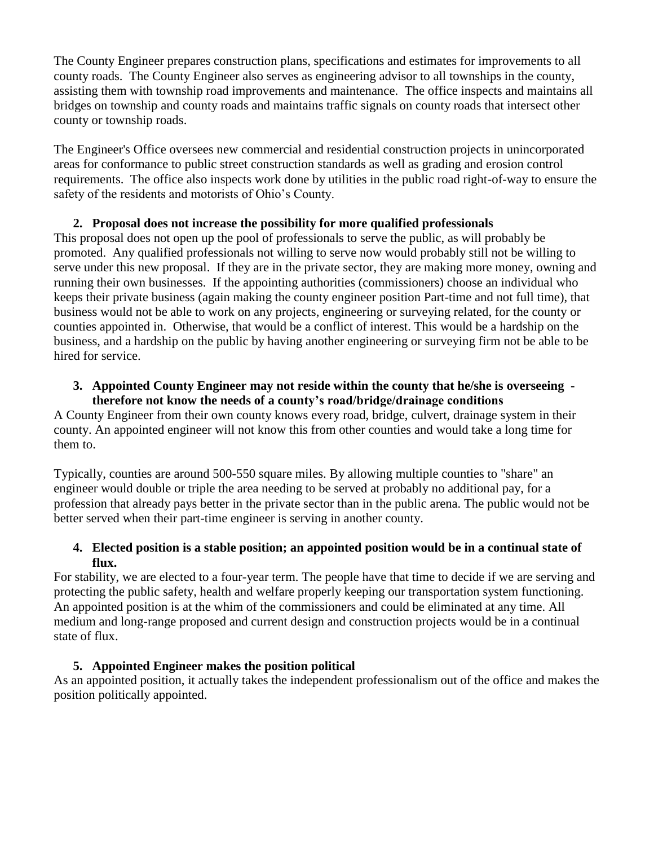The County Engineer prepares construction plans, specifications and estimates for improvements to all county roads. The County Engineer also serves as engineering advisor to all townships in the county, assisting them with township road improvements and maintenance. The office inspects and maintains all bridges on township and county roads and maintains traffic signals on county roads that intersect other county or township roads.

The Engineer's Office oversees new commercial and residential construction projects in unincorporated areas for conformance to public street construction standards as well as grading and erosion control requirements. The office also inspects work done by utilities in the public road right-of-way to ensure the safety of the residents and motorists of Ohio's County.

# **2. Proposal does not increase the possibility for more qualified professionals**

This proposal does not open up the pool of professionals to serve the public, as will probably be promoted. Any qualified professionals not willing to serve now would probably still not be willing to serve under this new proposal. If they are in the private sector, they are making more money, owning and running their own businesses. If the appointing authorities (commissioners) choose an individual who keeps their private business (again making the county engineer position Part-time and not full time), that business would not be able to work on any projects, engineering or surveying related, for the county or counties appointed in. Otherwise, that would be a conflict of interest. This would be a hardship on the business, and a hardship on the public by having another engineering or surveying firm not be able to be hired for service.

#### **3. Appointed County Engineer may not reside within the county that he/she is overseeing therefore not know the needs of a county's road/bridge/drainage conditions**

A County Engineer from their own county knows every road, bridge, culvert, drainage system in their county. An appointed engineer will not know this from other counties and would take a long time for them to.

Typically, counties are around 500-550 square miles. By allowing multiple counties to "share" an engineer would double or triple the area needing to be served at probably no additional pay, for a profession that already pays better in the private sector than in the public arena. The public would not be better served when their part-time engineer is serving in another county.

## **4. Elected position is a stable position; an appointed position would be in a continual state of flux.**

For stability, we are elected to a four-year term. The people have that time to decide if we are serving and protecting the public safety, health and welfare properly keeping our transportation system functioning. An appointed position is at the whim of the commissioners and could be eliminated at any time. All medium and long-range proposed and current design and construction projects would be in a continual state of flux.

# **5. Appointed Engineer makes the position political**

As an appointed position, it actually takes the independent professionalism out of the office and makes the position politically appointed.